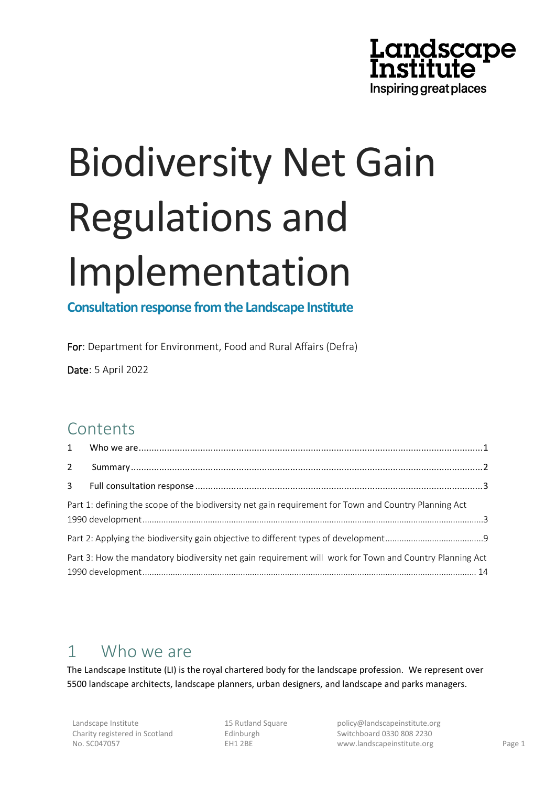

# Biodiversity Net Gain Regulations and Implementation

**Consultation response from the Landscape Institute**

For: Department for Environment, Food and Rural Affairs (Defra)

Date: 5 April 2022

# **Contents**

| $\overline{2}$ |                                                                                                         |  |
|----------------|---------------------------------------------------------------------------------------------------------|--|
| $\mathbf{3}$   |                                                                                                         |  |
|                | Part 1: defining the scope of the biodiversity net gain requirement for Town and Country Planning Act   |  |
|                |                                                                                                         |  |
|                | Part 3: How the mandatory biodiversity net gain requirement will work for Town and Country Planning Act |  |

# <span id="page-0-0"></span>1 Who we are

The Landscape Institute (LI) is the royal chartered body for the landscape profession. We represent over 5500 landscape architects, landscape planners, urban designers, and landscape and parks managers.

15 Rutland Square Edinburgh EH1 2BE

policy@landscapeinstitute.org Switchboard 0330 808 2230 www.landscapeinstitute.org Page 1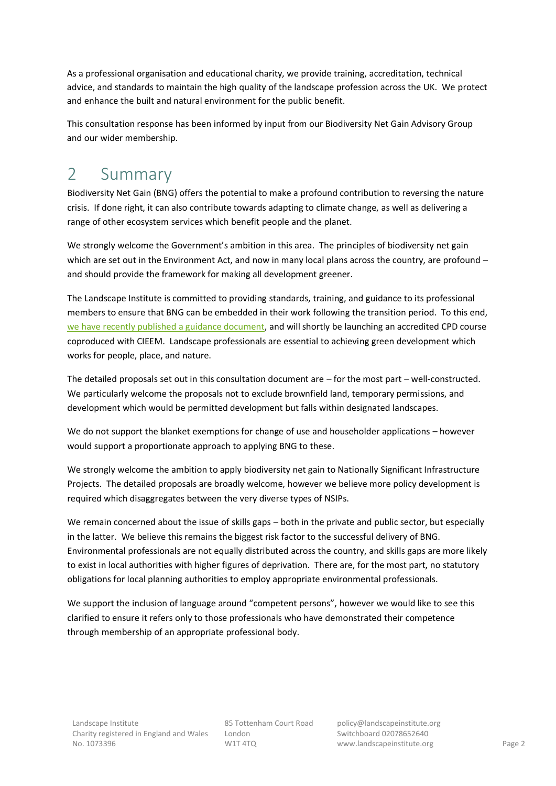As a professional organisation and educational charity, we provide training, accreditation, technical advice, and standards to maintain the high quality of the landscape profession across the UK. We protect and enhance the built and natural environment for the public benefit.

This consultation response has been informed by input from our Biodiversity Net Gain Advisory Group and our wider membership.

# <span id="page-1-0"></span>2 Summary

Biodiversity Net Gain (BNG) offers the potential to make a profound contribution to reversing the nature crisis. If done right, it can also contribute towards adapting to climate change, as well as delivering a range of other ecosystem services which benefit people and the planet.

We strongly welcome the Government's ambition in this area. The principles of biodiversity net gain which are set out in the Environment Act, and now in many local plans across the country, are profound – and should provide the framework for making all development greener.

The Landscape Institute is committed to providing standards, training, and guidance to its professional members to ensure that BNG can be embedded in their work following the transition period. To this end, [we have recently published a guidance document,](https://landscapewpstorage01.blob.core.windows.net/www-landscapeinstitute-org/2022/04/biodiversity-net-gain-for-landscape-professionals-faqs-v1.0-20220406.pdf) and will shortly be launching an accredited CPD course coproduced with CIEEM. Landscape professionals are essential to achieving green development which works for people, place, and nature.

The detailed proposals set out in this consultation document are – for the most part – well-constructed. We particularly welcome the proposals not to exclude brownfield land, temporary permissions, and development which would be permitted development but falls within designated landscapes.

We do not support the blanket exemptions for change of use and householder applications – however would support a proportionate approach to applying BNG to these.

We strongly welcome the ambition to apply biodiversity net gain to Nationally Significant Infrastructure Projects. The detailed proposals are broadly welcome, however we believe more policy development is required which disaggregates between the very diverse types of NSIPs.

We remain concerned about the issue of skills gaps – both in the private and public sector, but especially in the latter. We believe this remains the biggest risk factor to the successful delivery of BNG. Environmental professionals are not equally distributed across the country, and skills gaps are more likely to exist in local authorities with higher figures of deprivation. There are, for the most part, no statutory obligations for local planning authorities to employ appropriate environmental professionals.

We support the inclusion of language around "competent persons", however we would like to see this clarified to ensure it refers only to those professionals who have demonstrated their competence through membership of an appropriate professional body.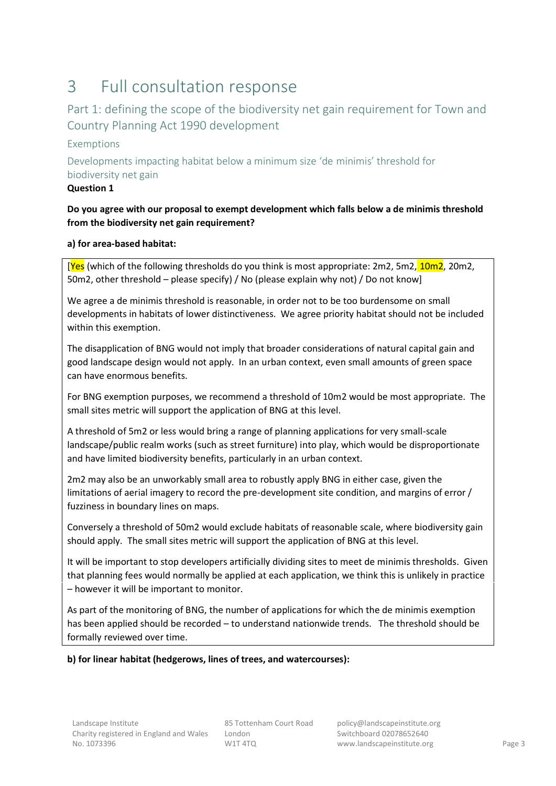# <span id="page-2-0"></span>3 Full consultation response

## <span id="page-2-1"></span>Part 1: defining the scope of the biodiversity net gain requirement for Town and Country Planning Act 1990 development

## Exemptions

Developments impacting habitat below a minimum size 'de minimis' threshold for biodiversity net gain

## **Question 1**

## **Do you agree with our proposal to exempt development which falls below a de minimis threshold from the biodiversity net gain requirement?**

## **a) for area-based habitat:**

[Yes (which of the following thresholds do you think is most appropriate: 2m2, 5m2, 10m2, 20m2, 50m2, other threshold – please specify) / No (please explain why not) / Do not know]

We agree a de minimis threshold is reasonable, in order not to be too burdensome on small developments in habitats of lower distinctiveness. We agree priority habitat should not be included within this exemption.

The disapplication of BNG would not imply that broader considerations of natural capital gain and good landscape design would not apply. In an urban context, even small amounts of green space can have enormous benefits.

For BNG exemption purposes, we recommend a threshold of 10m2 would be most appropriate. The small sites metric will support the application of BNG at this level.

A threshold of 5m2 or less would bring a range of planning applications for very small-scale landscape/public realm works (such as street furniture) into play, which would be disproportionate and have limited biodiversity benefits, particularly in an urban context.

2m2 may also be an unworkably small area to robustly apply BNG in either case, given the limitations of aerial imagery to record the pre-development site condition, and margins of error / fuzziness in boundary lines on maps.

Conversely a threshold of 50m2 would exclude habitats of reasonable scale, where biodiversity gain should apply. The small sites metric will support the application of BNG at this level.

It will be important to stop developers artificially dividing sites to meet de minimis thresholds. Given that planning fees would normally be applied at each application, we think this is unlikely in practice – however it will be important to monitor.

As part of the monitoring of BNG, the number of applications for which the de minimis exemption has been applied should be recorded – to understand nationwide trends. The threshold should be formally reviewed over time.

## **b) for linear habitat (hedgerows, lines of trees, and watercourses):**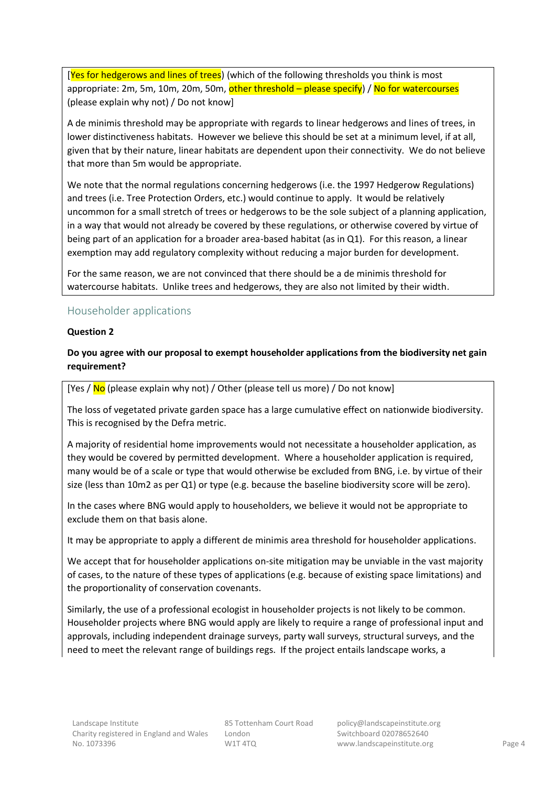[Yes for hedgerows and lines of trees] (which of the following thresholds you think is most appropriate: 2m, 5m, 10m, 20m, 50m, other threshold – please specify) / No for watercourses (please explain why not) / Do not know]

A de minimis threshold may be appropriate with regards to linear hedgerows and lines of trees, in lower distinctiveness habitats. However we believe this should be set at a minimum level, if at all, given that by their nature, linear habitats are dependent upon their connectivity. We do not believe that more than 5m would be appropriate.

We note that the normal regulations concerning hedgerows (i.e. the 1997 Hedgerow Regulations) and trees (i.e. Tree Protection Orders, etc.) would continue to apply. It would be relatively uncommon for a small stretch of trees or hedgerows to be the sole subject of a planning application, in a way that would not already be covered by these regulations, or otherwise covered by virtue of being part of an application for a broader area-based habitat (as in Q1). For this reason, a linear exemption may add regulatory complexity without reducing a major burden for development.

For the same reason, we are not convinced that there should be a de minimis threshold for watercourse habitats. Unlike trees and hedgerows, they are also not limited by their width.

## Householder applications

## **Question 2**

## **Do you agree with our proposal to exempt householder applications from the biodiversity net gain requirement?**

[Yes  $/$  No (please explain why not)  $/$  Other (please tell us more)  $/$  Do not know]

The loss of vegetated private garden space has a large cumulative effect on nationwide biodiversity. This is recognised by the Defra metric.

A majority of residential home improvements would not necessitate a householder application, as they would be covered by permitted development. Where a householder application is required, many would be of a scale or type that would otherwise be excluded from BNG, i.e. by virtue of their size (less than 10m2 as per Q1) or type (e.g. because the baseline biodiversity score will be zero).

In the cases where BNG would apply to householders, we believe it would not be appropriate to exclude them on that basis alone.

It may be appropriate to apply a different de minimis area threshold for householder applications.

We accept that for householder applications on-site mitigation may be unviable in the vast majority of cases, to the nature of these types of applications (e.g. because of existing space limitations) and the proportionality of conservation covenants.

Similarly, the use of a professional ecologist in householder projects is not likely to be common. Householder projects where BNG would apply are likely to require a range of professional input and approvals, including independent drainage surveys, party wall surveys, structural surveys, and the need to meet the relevant range of buildings regs. If the project entails landscape works, a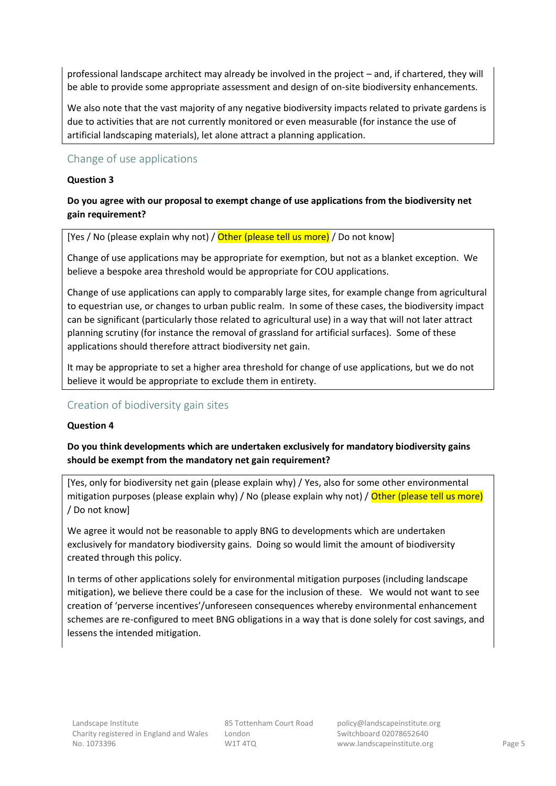professional landscape architect may already be involved in the project – and, if chartered, they will be able to provide some appropriate assessment and design of on-site biodiversity enhancements.

We also note that the vast majority of any negative biodiversity impacts related to private gardens is due to activities that are not currently monitored or even measurable (for instance the use of artificial landscaping materials), let alone attract a planning application.

## Change of use applications

## **Question 3**

## **Do you agree with our proposal to exempt change of use applications from the biodiversity net gain requirement?**

[Yes / No (please explain why not) / Other (please tell us more) / Do not know]

Change of use applications may be appropriate for exemption, but not as a blanket exception. We believe a bespoke area threshold would be appropriate for COU applications.

Change of use applications can apply to comparably large sites, for example change from agricultural to equestrian use, or changes to urban public realm. In some of these cases, the biodiversity impact can be significant (particularly those related to agricultural use) in a way that will not later attract planning scrutiny (for instance the removal of grassland for artificial surfaces). Some of these applications should therefore attract biodiversity net gain.

It may be appropriate to set a higher area threshold for change of use applications, but we do not believe it would be appropriate to exclude them in entirety.

## Creation of biodiversity gain sites

## **Question 4**

**Do you think developments which are undertaken exclusively for mandatory biodiversity gains should be exempt from the mandatory net gain requirement?**

[Yes, only for biodiversity net gain (please explain why) / Yes, also for some other environmental mitigation purposes (please explain why) / No (please explain why not) / Other (please tell us more) / Do not know]

We agree it would not be reasonable to apply BNG to developments which are undertaken exclusively for mandatory biodiversity gains. Doing so would limit the amount of biodiversity created through this policy.

In terms of other applications solely for environmental mitigation purposes (including landscape mitigation), we believe there could be a case for the inclusion of these. We would not want to see creation of 'perverse incentives'/unforeseen consequences whereby environmental enhancement schemes are re-configured to meet BNG obligations in a way that is done solely for cost savings, and lessens the intended mitigation.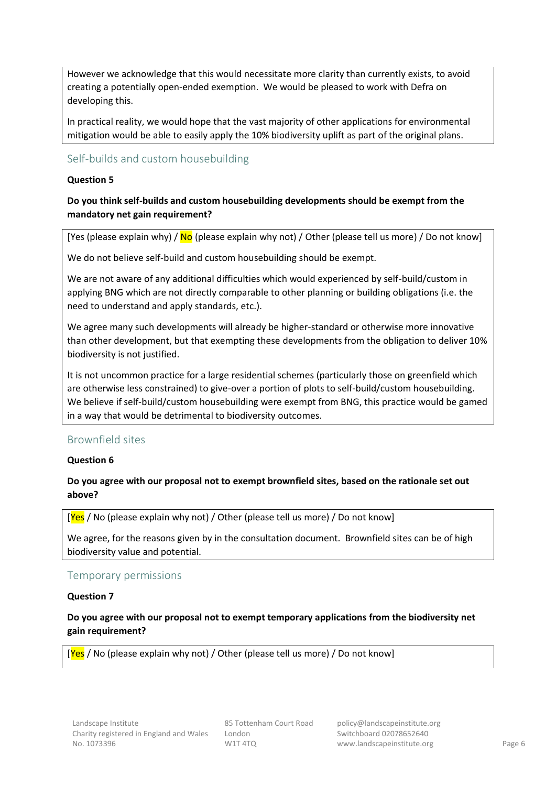However we acknowledge that this would necessitate more clarity than currently exists, to avoid creating a potentially open-ended exemption. We would be pleased to work with Defra on developing this.

In practical reality, we would hope that the vast majority of other applications for environmental mitigation would be able to easily apply the 10% biodiversity uplift as part of the original plans.

## Self-builds and custom housebuilding

## **Question 5**

## **Do you think self-builds and custom housebuilding developments should be exempt from the mandatory net gain requirement?**

[Yes (please explain why) /  $N_Q$  (please explain why not) / Other (please tell us more) / Do not know]

We do not believe self-build and custom housebuilding should be exempt.

We are not aware of any additional difficulties which would experienced by self-build/custom in applying BNG which are not directly comparable to other planning or building obligations (i.e. the need to understand and apply standards, etc.).

We agree many such developments will already be higher-standard or otherwise more innovative than other development, but that exempting these developments from the obligation to deliver 10% biodiversity is not justified.

It is not uncommon practice for a large residential schemes (particularly those on greenfield which are otherwise less constrained) to give-over a portion of plots to self-build/custom housebuilding. We believe if self-build/custom housebuilding were exempt from BNG, this practice would be gamed in a way that would be detrimental to biodiversity outcomes.

## Brownfield sites

## **Question 6**

## **Do you agree with our proposal not to exempt brownfield sites, based on the rationale set out above?**

[Yes / No (please explain why not) / Other (please tell us more) / Do not know]

We agree, for the reasons given by in the consultation document. Brownfield sites can be of high biodiversity value and potential.

## Temporary permissions

## **Question 7**

## **Do you agree with our proposal not to exempt temporary applications from the biodiversity net gain requirement?**

 $[\text{Yes} / \text{No}$  (please explain why not) / Other (please tell us more) / Do not know]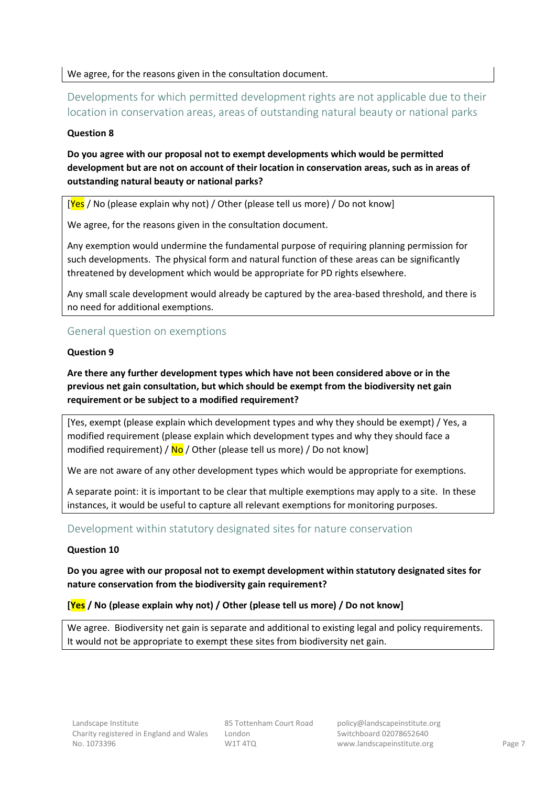We agree, for the reasons given in the consultation document.

Developments for which permitted development rights are not applicable due to their location in conservation areas, areas of outstanding natural beauty or national parks

## **Question 8**

**Do you agree with our proposal not to exempt developments which would be permitted development but are not on account of their location in conservation areas, such as in areas of outstanding natural beauty or national parks?**

 $[Yes / No (please explain why not) / Other (please tell us more) / Do not know]$ 

We agree, for the reasons given in the consultation document.

Any exemption would undermine the fundamental purpose of requiring planning permission for such developments. The physical form and natural function of these areas can be significantly threatened by development which would be appropriate for PD rights elsewhere.

Any small scale development would already be captured by the area-based threshold, and there is no need for additional exemptions.

## General question on exemptions

## **Question 9**

**Are there any further development types which have not been considered above or in the previous net gain consultation, but which should be exempt from the biodiversity net gain requirement or be subject to a modified requirement?**

[Yes, exempt (please explain which development types and why they should be exempt) / Yes, a modified requirement (please explain which development types and why they should face a modified requirement) /  $\overline{No}$  / Other (please tell us more) / Do not know]

We are not aware of any other development types which would be appropriate for exemptions.

A separate point: it is important to be clear that multiple exemptions may apply to a site. In these instances, it would be useful to capture all relevant exemptions for monitoring purposes.

## Development within statutory designated sites for nature conservation

## **Question 10**

**Do you agree with our proposal not to exempt development within statutory designated sites for nature conservation from the biodiversity gain requirement?**

## **[Yes / No (please explain why not) / Other (please tell us more) / Do not know]**

We agree. Biodiversity net gain is separate and additional to existing legal and policy requirements. It would not be appropriate to exempt these sites from biodiversity net gain.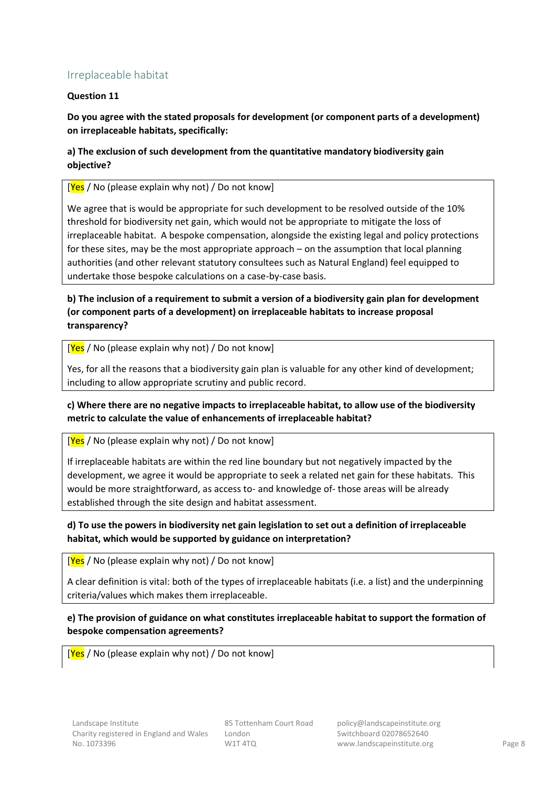## Irreplaceable habitat

## **Question 11**

**Do you agree with the stated proposals for development (or component parts of a development) on irreplaceable habitats, specifically:**

## **a) The exclusion of such development from the quantitative mandatory biodiversity gain objective?**

 $[Yes / No (please explain why not) / Do not know]$ 

We agree that is would be appropriate for such development to be resolved outside of the 10% threshold for biodiversity net gain, which would not be appropriate to mitigate the loss of irreplaceable habitat. A bespoke compensation, alongside the existing legal and policy protections for these sites, may be the most appropriate approach – on the assumption that local planning authorities (and other relevant statutory consultees such as Natural England) feel equipped to undertake those bespoke calculations on a case-by-case basis.

## **b) The inclusion of a requirement to submit a version of a biodiversity gain plan for development (or component parts of a development) on irreplaceable habitats to increase proposal transparency?**

 $[Yes / No (please explain why not) / Do not know]$ 

Yes, for all the reasons that a biodiversity gain plan is valuable for any other kind of development; including to allow appropriate scrutiny and public record.

## **c) Where there are no negative impacts to irreplaceable habitat, to allow use of the biodiversity metric to calculate the value of enhancements of irreplaceable habitat?**

## $[Yes / No (please explain why not) / Do not know]$

If irreplaceable habitats are within the red line boundary but not negatively impacted by the development, we agree it would be appropriate to seek a related net gain for these habitats. This would be more straightforward, as access to- and knowledge of- those areas will be already established through the site design and habitat assessment.

## **d) To use the powers in biodiversity net gain legislation to set out a definition of irreplaceable habitat, which would be supported by guidance on interpretation?**

 $[Yes / No (please explain why not) / Do not know]$ 

A clear definition is vital: both of the types of irreplaceable habitats (i.e. a list) and the underpinning criteria/values which makes them irreplaceable.

## **e) The provision of guidance on what constitutes irreplaceable habitat to support the formation of bespoke compensation agreements?**

 $[Yes / No (please explain why not) / Do not know]$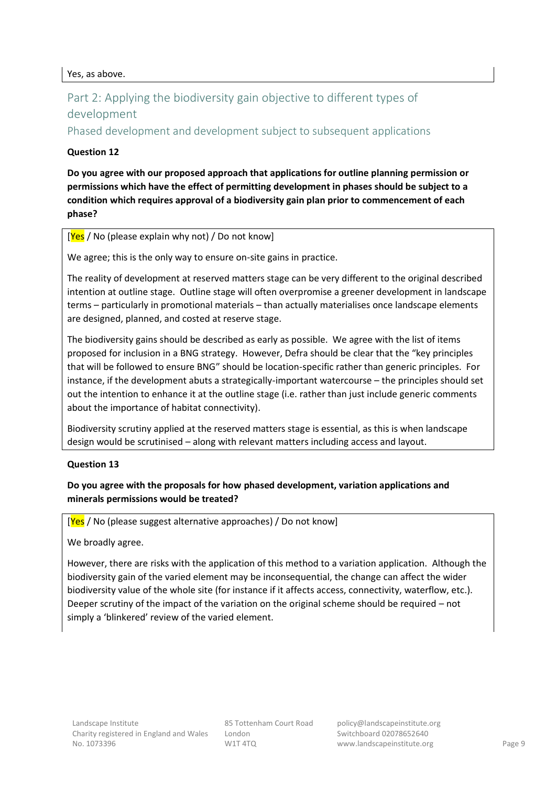Yes, as above.

## <span id="page-8-0"></span>Part 2: Applying the biodiversity gain objective to different types of development

Phased development and development subject to subsequent applications

## **Question 12**

**Do you agree with our proposed approach that applications for outline planning permission or permissions which have the effect of permitting development in phases should be subject to a condition which requires approval of a biodiversity gain plan prior to commencement of each phase?**

## $[Yes / No (please explain why not) / Do not know]$

We agree; this is the only way to ensure on-site gains in practice.

The reality of development at reserved matters stage can be very different to the original described intention at outline stage. Outline stage will often overpromise a greener development in landscape terms – particularly in promotional materials – than actually materialises once landscape elements are designed, planned, and costed at reserve stage.

The biodiversity gains should be described as early as possible. We agree with the list of items proposed for inclusion in a BNG strategy. However, Defra should be clear that the "key principles that will be followed to ensure BNG" should be location-specific rather than generic principles. For instance, if the development abuts a strategically-important watercourse – the principles should set out the intention to enhance it at the outline stage (i.e. rather than just include generic comments about the importance of habitat connectivity).

Biodiversity scrutiny applied at the reserved matters stage is essential, as this is when landscape design would be scrutinised – along with relevant matters including access and layout.

## **Question 13**

## **Do you agree with the proposals for how phased development, variation applications and minerals permissions would be treated?**

 $[Yes / No (please suggest alternative approaches) / Do not know]$ 

We broadly agree.

However, there are risks with the application of this method to a variation application. Although the biodiversity gain of the varied element may be inconsequential, the change can affect the wider biodiversity value of the whole site (for instance if it affects access, connectivity, waterflow, etc.). Deeper scrutiny of the impact of the variation on the original scheme should be required – not simply a 'blinkered' review of the varied element.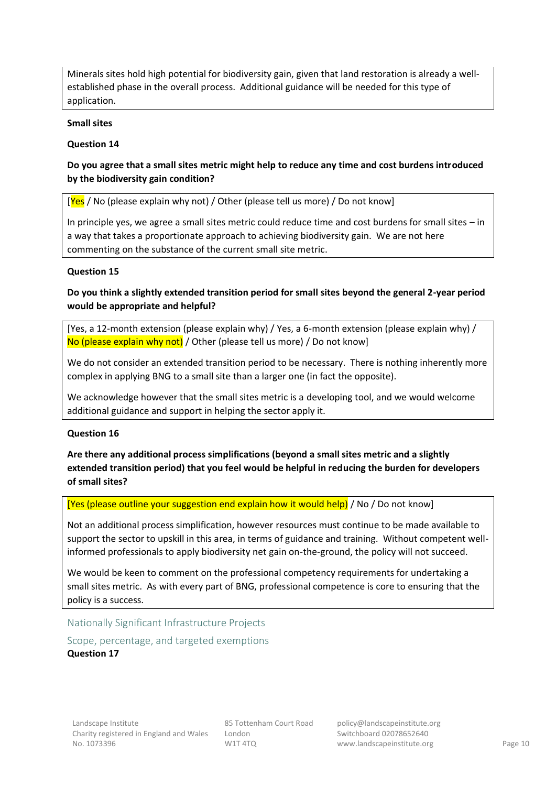Minerals sites hold high potential for biodiversity gain, given that land restoration is already a wellestablished phase in the overall process. Additional guidance will be needed for this type of application.

## **Small sites**

## **Question 14**

## **Do you agree that a small sites metric might help to reduce any time and cost burdens introduced by the biodiversity gain condition?**

 $[Yes / No (please explain why not) / Other (please tell us more) / Do not know]$ 

In principle yes, we agree a small sites metric could reduce time and cost burdens for small sites – in a way that takes a proportionate approach to achieving biodiversity gain. We are not here commenting on the substance of the current small site metric.

## **Question 15**

**Do you think a slightly extended transition period for small sites beyond the general 2-year period would be appropriate and helpful?**

[Yes, a 12-month extension (please explain why) / Yes, a 6-month extension (please explain why) / No (please explain why not) / Other (please tell us more) / Do not know]

We do not consider an extended transition period to be necessary. There is nothing inherently more complex in applying BNG to a small site than a larger one (in fact the opposite).

We acknowledge however that the small sites metric is a developing tool, and we would welcome additional guidance and support in helping the sector apply it.

## **Question 16**

**Are there any additional process simplifications (beyond a small sites metric and a slightly extended transition period) that you feel would be helpful in reducing the burden for developers of small sites?**

[Yes (please outline your suggestion end explain how it would help) / No / Do not know]

Not an additional process simplification, however resources must continue to be made available to support the sector to upskill in this area, in terms of guidance and training. Without competent wellinformed professionals to apply biodiversity net gain on-the-ground, the policy will not succeed.

We would be keen to comment on the professional competency requirements for undertaking a small sites metric. As with every part of BNG, professional competence is core to ensuring that the policy is a success.

Nationally Significant Infrastructure Projects

Scope, percentage, and targeted exemptions **Question 17**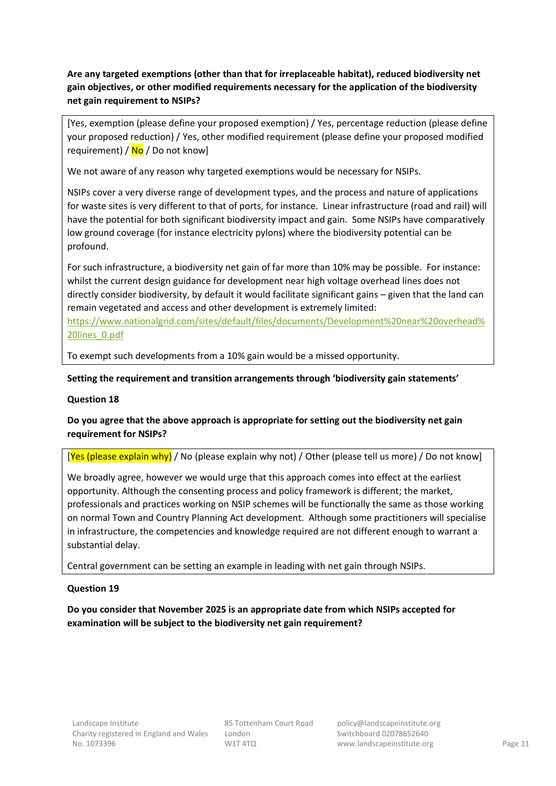**Are any targeted exemptions (other than that for irreplaceable habitat), reduced biodiversity net gain objectives, or other modified requirements necessary for the application of the biodiversity net gain requirement to NSIPs?**

[Yes, exemption (please define your proposed exemption) / Yes, percentage reduction (please define your proposed reduction) / Yes, other modified requirement (please define your proposed modified requirement) /  $No$  / Do not know]

We not aware of any reason why targeted exemptions would be necessary for NSIPs.

NSIPs cover a very diverse range of development types, and the process and nature of applications for waste sites is very different to that of ports, for instance. Linear infrastructure (road and rail) will have the potential for both significant biodiversity impact and gain. Some NSIPs have comparatively low ground coverage (for instance electricity pylons) where the biodiversity potential can be profound.

For such infrastructure, a biodiversity net gain of far more than 10% may be possible. For instance: whilst the current design guidance for development near high voltage overhead lines does not directly consider biodiversity, by default it would facilitate significant gains – given that the land can remain vegetated and access and other development is extremely limited: [https://www.nationalgrid.com/sites/default/files/documents/Development%20near%20overhead%](https://www.nationalgrid.com/sites/default/files/documents/Development%20near%20overhead%20lines_0.pdf)

[20lines\\_0.pdf](https://www.nationalgrid.com/sites/default/files/documents/Development%20near%20overhead%20lines_0.pdf)

To exempt such developments from a 10% gain would be a missed opportunity.

## **Setting the requirement and transition arrangements through 'biodiversity gain statements'**

## **Question 18**

## **Do you agree that the above approach is appropriate for setting out the biodiversity net gain requirement for NSIPs?**

[Yes (please explain why) / No (please explain why not) / Other (please tell us more) / Do not know]

We broadly agree, however we would urge that this approach comes into effect at the earliest opportunity. Although the consenting process and policy framework is different; the market, professionals and practices working on NSIP schemes will be functionally the same as those working on normal Town and Country Planning Act development. Although some practitioners will specialise in infrastructure, the competencies and knowledge required are not different enough to warrant a substantial delay.

Central government can be setting an example in leading with net gain through NSIPs.

## **Question 19**

**Do you consider that November 2025 is an appropriate date from which NSIPs accepted for examination will be subject to the biodiversity net gain requirement?**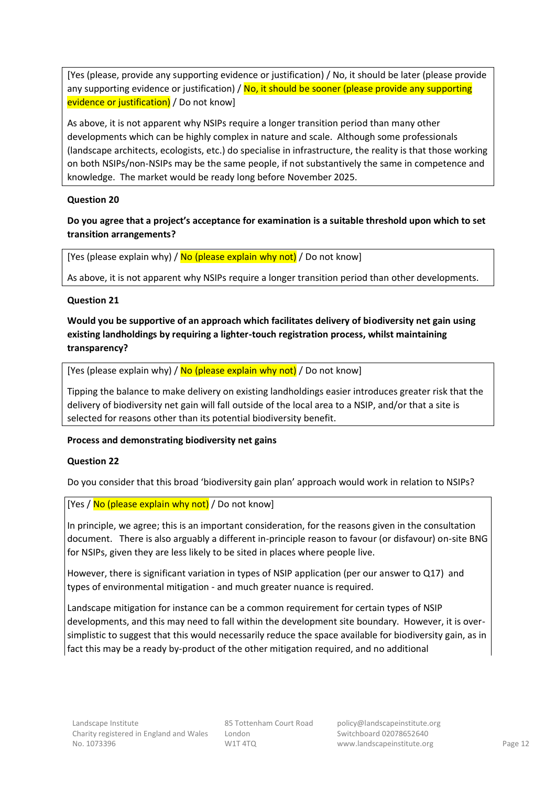[Yes (please, provide any supporting evidence or justification) / No, it should be later (please provide any supporting evidence or justification) /  $No$ , it should be sooner (please provide any supporting evidence or justification) / Do not know]

As above, it is not apparent why NSIPs require a longer transition period than many other developments which can be highly complex in nature and scale. Although some professionals (landscape architects, ecologists, etc.) do specialise in infrastructure, the reality is that those working on both NSIPs/non-NSIPs may be the same people, if not substantively the same in competence and knowledge. The market would be ready long before November 2025.

## **Question 20**

## **Do you agree that a project's acceptance for examination is a suitable threshold upon which to set transition arrangements?**

[Yes (please explain why) /  $No$  (please explain why not) / Do not know]

As above, it is not apparent why NSIPs require a longer transition period than other developments.

## **Question 21**

**Would you be supportive of an approach which facilitates delivery of biodiversity net gain using existing landholdings by requiring a lighter-touch registration process, whilst maintaining transparency?**

[Yes (please explain why) /  $\overline{No}$  (please explain why not) / Do not know]

Tipping the balance to make delivery on existing landholdings easier introduces greater risk that the delivery of biodiversity net gain will fall outside of the local area to a NSIP, and/or that a site is selected for reasons other than its potential biodiversity benefit.

## **Process and demonstrating biodiversity net gains**

## **Question 22**

Do you consider that this broad 'biodiversity gain plan' approach would work in relation to NSIPs?

## [Yes / No (please explain why not) / Do not know]

In principle, we agree; this is an important consideration, for the reasons given in the consultation document. There is also arguably a different in-principle reason to favour (or disfavour) on-site BNG for NSIPs, given they are less likely to be sited in places where people live.

However, there is significant variation in types of NSIP application (per our answer to Q17) and types of environmental mitigation - and much greater nuance is required.

Landscape mitigation for instance can be a common requirement for certain types of NSIP developments, and this may need to fall within the development site boundary. However, it is oversimplistic to suggest that this would necessarily reduce the space available for biodiversity gain, as in fact this may be a ready by-product of the other mitigation required, and no additional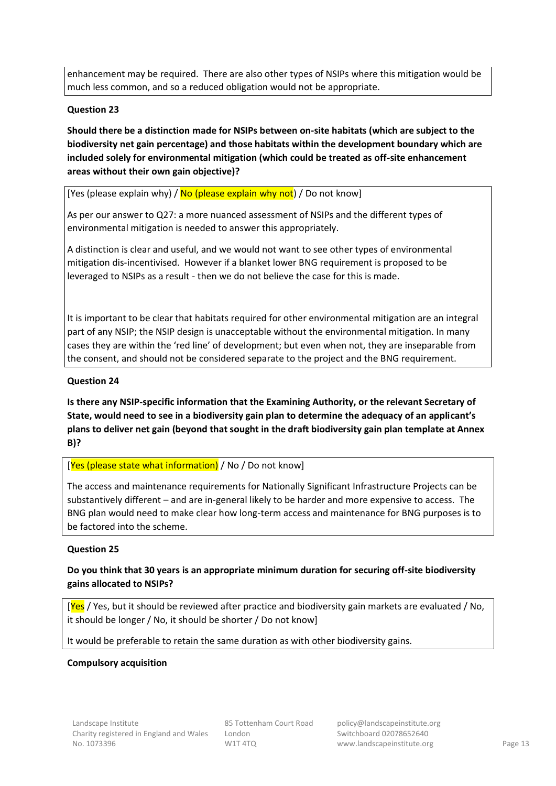enhancement may be required. There are also other types of NSIPs where this mitigation would be much less common, and so a reduced obligation would not be appropriate.

## **Question 23**

## **Should there be a distinction made for NSIPs between on-site habitats (which are subject to the biodiversity net gain percentage) and those habitats within the development boundary which are included solely for environmental mitigation (which could be treated as off-site enhancement areas without their own gain objective)?**

[Yes (please explain why) /  $\overline{No}$  (please explain why not) / Do not know]

As per our answer to Q27: a more nuanced assessment of NSIPs and the different types of environmental mitigation is needed to answer this appropriately.

A distinction is clear and useful, and we would not want to see other types of environmental mitigation dis-incentivised. However if a blanket lower BNG requirement is proposed to be leveraged to NSIPs as a result - then we do not believe the case for this is made.

It is important to be clear that habitats required for other environmental mitigation are an integral part of any NSIP; the NSIP design is unacceptable without the environmental mitigation. In many cases they are within the 'red line' of development; but even when not, they are inseparable from the consent, and should not be considered separate to the project and the BNG requirement.

## **Question 24**

**Is there any NSIP-specific information that the Examining Authority, or the relevant Secretary of State, would need to see in a biodiversity gain plan to determine the adequacy of an applicant's plans to deliver net gain (beyond that sought in the draft biodiversity gain plan template at Annex B)?**

## [Yes (please state what information) / No / Do not know]

The access and maintenance requirements for Nationally Significant Infrastructure Projects can be substantively different – and are in-general likely to be harder and more expensive to access. The BNG plan would need to make clear how long-term access and maintenance for BNG purposes is to be factored into the scheme.

## **Question 25**

## **Do you think that 30 years is an appropriate minimum duration for securing off-site biodiversity gains allocated to NSIPs?**

[Yes / Yes, but it should be reviewed after practice and biodiversity gain markets are evaluated / No, it should be longer / No, it should be shorter / Do not know]

It would be preferable to retain the same duration as with other biodiversity gains.

## **Compulsory acquisition**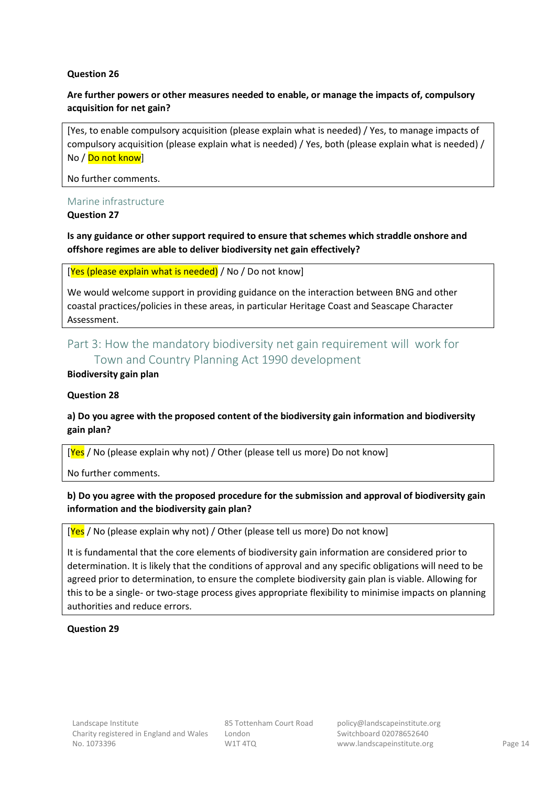## **Question 26**

## **Are further powers or other measures needed to enable, or manage the impacts of, compulsory acquisition for net gain?**

[Yes, to enable compulsory acquisition (please explain what is needed) / Yes, to manage impacts of compulsory acquisition (please explain what is needed) / Yes, both (please explain what is needed) / No / Do not know]

## No further comments.

## Marine infrastructure

## **Question 27**

## **Is any guidance or other support required to ensure that schemes which straddle onshore and offshore regimes are able to deliver biodiversity net gain effectively?**

## [Yes (please explain what is needed) / No / Do not know]

We would welcome support in providing guidance on the interaction between BNG and other coastal practices/policies in these areas, in particular Heritage Coast and Seascape Character Assessment.

## <span id="page-13-0"></span>Part 3: How the mandatory biodiversity net gain requirement will work for Town and Country Planning Act 1990 development

## **Biodiversity gain plan**

## **Question 28**

## **a) Do you agree with the proposed content of the biodiversity gain information and biodiversity gain plan?**

[Yes / No (please explain why not) / Other (please tell us more) Do not know]

No further comments.

## **b) Do you agree with the proposed procedure for the submission and approval of biodiversity gain information and the biodiversity gain plan?**

## [Yes / No (please explain why not) / Other (please tell us more) Do not know]

It is fundamental that the core elements of biodiversity gain information are considered prior to determination. It is likely that the conditions of approval and any specific obligations will need to be agreed prior to determination, to ensure the complete biodiversity gain plan is viable. Allowing for this to be a single- or two-stage process gives appropriate flexibility to minimise impacts on planning authorities and reduce errors.

## **Question 29**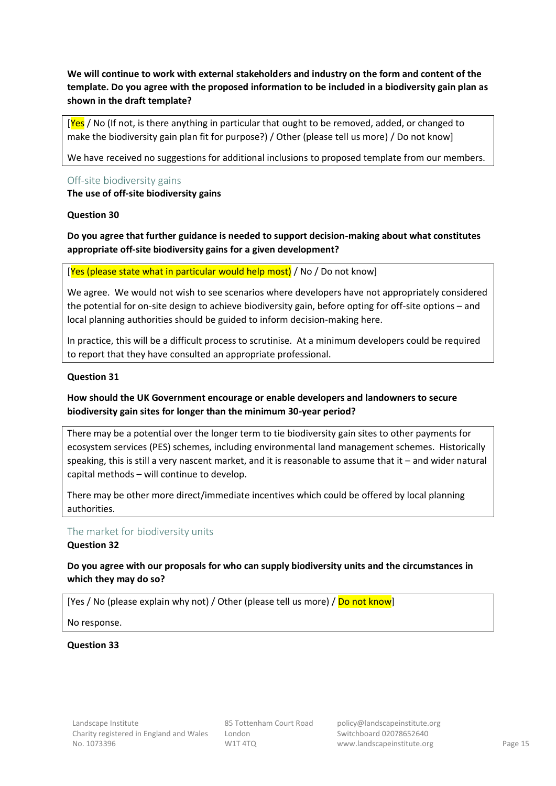**We will continue to work with external stakeholders and industry on the form and content of the template. Do you agree with the proposed information to be included in a biodiversity gain plan as shown in the draft template?**

[Yes / No (If not, is there anything in particular that ought to be removed, added, or changed to make the biodiversity gain plan fit for purpose?) / Other (please tell us more) / Do not know]

We have received no suggestions for additional inclusions to proposed template from our members.

## Off-site biodiversity gains **The use of off-site biodiversity gains**

## **Question 30**

**Do you agree that further guidance is needed to support decision-making about what constitutes appropriate off-site biodiversity gains for a given development?**

[Yes (please state what in particular would help most) / No / Do not know]

We agree. We would not wish to see scenarios where developers have not appropriately considered the potential for on-site design to achieve biodiversity gain, before opting for off-site options – and local planning authorities should be guided to inform decision-making here.

In practice, this will be a difficult process to scrutinise. At a minimum developers could be required to report that they have consulted an appropriate professional.

## **Question 31**

## **How should the UK Government encourage or enable developers and landowners to secure biodiversity gain sites for longer than the minimum 30-year period?**

There may be a potential over the longer term to tie biodiversity gain sites to other payments for ecosystem services (PES) schemes, including environmental land management schemes. Historically speaking, this is still a very nascent market, and it is reasonable to assume that it – and wider natural capital methods – will continue to develop.

There may be other more direct/immediate incentives which could be offered by local planning authorities.

## The market for biodiversity units

**Question 32**

## **Do you agree with our proposals for who can supply biodiversity units and the circumstances in which they may do so?**

[Yes / No (please explain why not) / Other (please tell us more) / Do not know]

No response.

## **Question 33**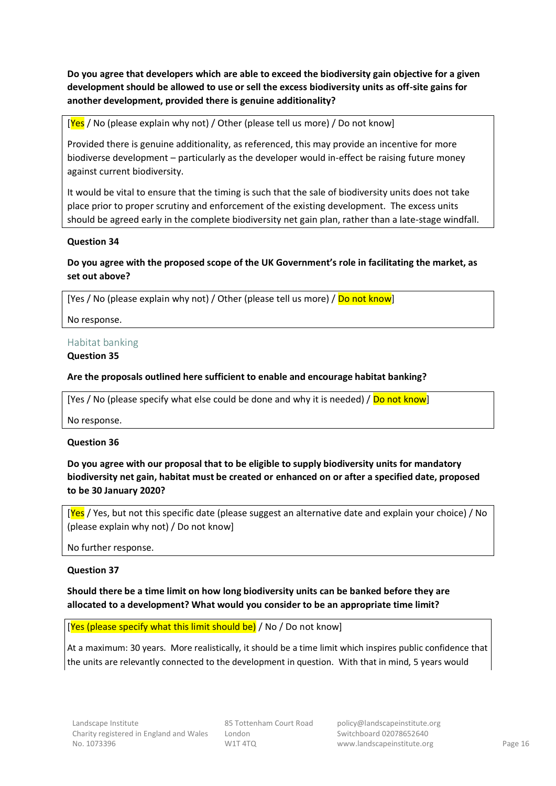**Do you agree that developers which are able to exceed the biodiversity gain objective for a given development should be allowed to use or sell the excess biodiversity units as off-site gains for another development, provided there is genuine additionality?**

 $[\text{Yes} / \text{No}$  (please explain why not) / Other (please tell us more) / Do not know]

Provided there is genuine additionality, as referenced, this may provide an incentive for more biodiverse development – particularly as the developer would in-effect be raising future money against current biodiversity.

It would be vital to ensure that the timing is such that the sale of biodiversity units does not take place prior to proper scrutiny and enforcement of the existing development. The excess units should be agreed early in the complete biodiversity net gain plan, rather than a late-stage windfall.

## **Question 34**

## **Do you agree with the proposed scope of the UK Government's role in facilitating the market, as set out above?**

[Yes / No (please explain why not) / Other (please tell us more) / Do not know]

No response.

## Habitat banking

## **Question 35**

## **Are the proposals outlined here sufficient to enable and encourage habitat banking?**

[Yes / No (please specify what else could be done and why it is needed) / Do not know]

No response.

## **Question 36**

**Do you agree with our proposal that to be eligible to supply biodiversity units for mandatory biodiversity net gain, habitat must be created or enhanced on or after a specified date, proposed to be 30 January 2020?**

[Yes / Yes, but not this specific date (please suggest an alternative date and explain your choice) / No (please explain why not) / Do not know]

No further response.

## **Question 37**

## **Should there be a time limit on how long biodiversity units can be banked before they are allocated to a development? What would you consider to be an appropriate time limit?**

[Yes (please specify what this limit should be) / No / Do not know]

At a maximum: 30 years. More realistically, it should be a time limit which inspires public confidence that the units are relevantly connected to the development in question. With that in mind, 5 years would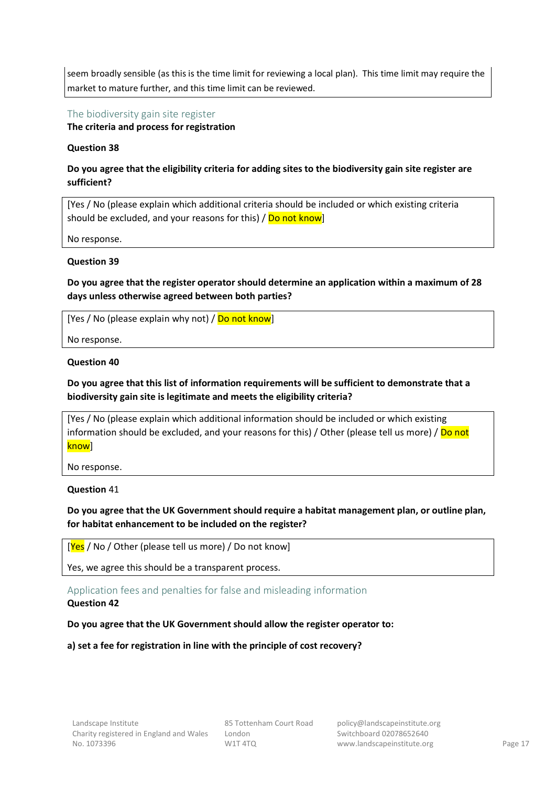seem broadly sensible (as this is the time limit for reviewing a local plan). This time limit may require the market to mature further, and this time limit can be reviewed.

The biodiversity gain site register

**The criteria and process for registration**

## **Question 38**

## **Do you agree that the eligibility criteria for adding sites to the biodiversity gain site register are sufficient?**

[Yes / No (please explain which additional criteria should be included or which existing criteria should be excluded, and your reasons for this) / Do not know]

No response.

## **Question 39**

**Do you agree that the register operator should determine an application within a maximum of 28 days unless otherwise agreed between both parties?**

[Yes / No (please explain why not) / Do not know]

No response.

## **Question 40**

## **Do you agree that this list of information requirements will be sufficient to demonstrate that a biodiversity gain site is legitimate and meets the eligibility criteria?**

[Yes / No (please explain which additional information should be included or which existing information should be excluded, and your reasons for this) / Other (please tell us more) / Do not know]

No response.

**Question** 41

## **Do you agree that the UK Government should require a habitat management plan, or outline plan, for habitat enhancement to be included on the register?**

 $[Yes / No / Other (please tell us more) / Do not know]$ 

Yes, we agree this should be a transparent process.

Application fees and penalties for false and misleading information

## **Question 42**

## **Do you agree that the UK Government should allow the register operator to:**

**a) set a fee for registration in line with the principle of cost recovery?**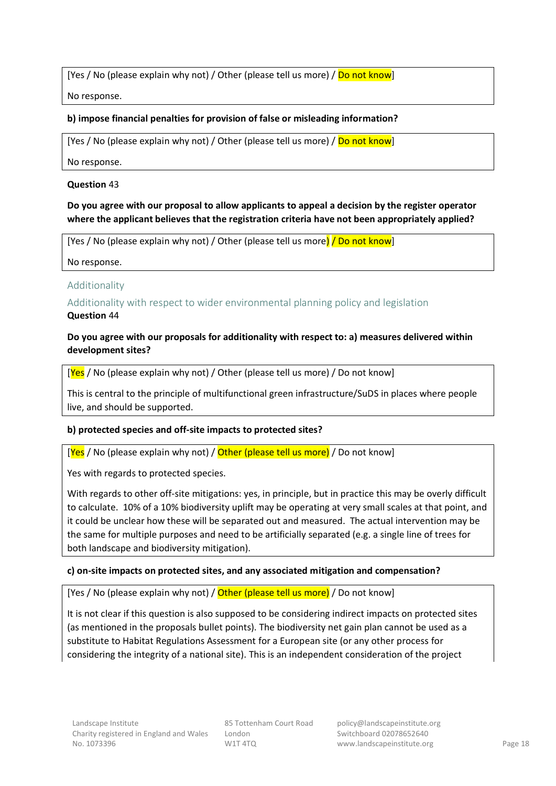[Yes / No (please explain why not) / Other (please tell us more) / Do not know]

No response.

## **b) impose financial penalties for provision of false or misleading information?**

[Yes / No (please explain why not) / Other (please tell us more) / Do not know]

No response.

## **Question** 43

## **Do you agree with our proposal to allow applicants to appeal a decision by the register operator where the applicant believes that the registration criteria have not been appropriately applied?**

[Yes / No (please explain why not) / Other (please tell us more) / Do not know]

No response.

## Additionality

## Additionality with respect to wider environmental planning policy and legislation **Question** 44

## **Do you agree with our proposals for additionality with respect to: a) measures delivered within development sites?**

 $[Yes / No (please explain why not) / Other (please tell us more) / Do not know]$ 

This is central to the principle of multifunctional green infrastructure/SuDS in places where people live, and should be supported.

## **b) protected species and off-site impacts to protected sites?**

[Yes / No (please explain why not) / Other (please tell us more) / Do not know]

Yes with regards to protected species.

With regards to other off-site mitigations: yes, in principle, but in practice this may be overly difficult to calculate. 10% of a 10% biodiversity uplift may be operating at very small scales at that point, and it could be unclear how these will be separated out and measured. The actual intervention may be the same for multiple purposes and need to be artificially separated (e.g. a single line of trees for both landscape and biodiversity mitigation).

## **c) on-site impacts on protected sites, and any associated mitigation and compensation?**

[Yes / No (please explain why not) / Other (please tell us more) / Do not know]

It is not clear if this question is also supposed to be considering indirect impacts on protected sites (as mentioned in the proposals bullet points). The biodiversity net gain plan cannot be used as a substitute to Habitat Regulations Assessment for a European site (or any other process for considering the integrity of a national site). This is an independent consideration of the project

85 Tottenham Court Road London W1T 4TQ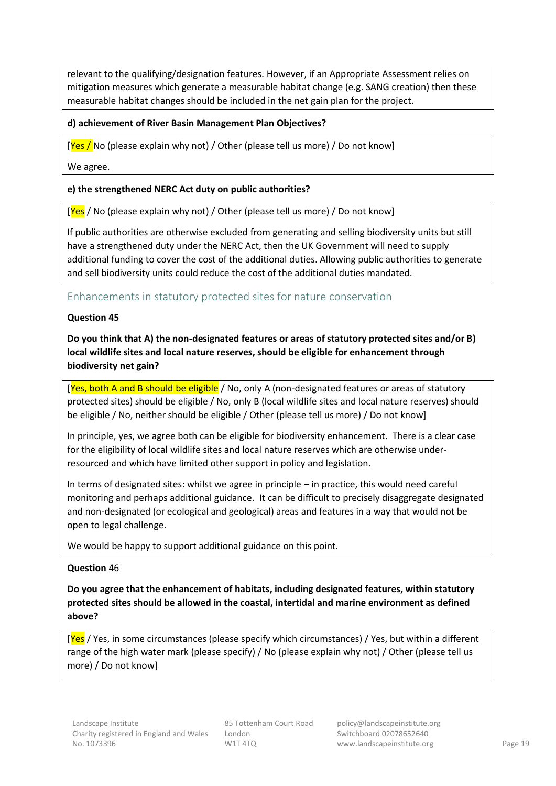relevant to the qualifying/designation features. However, if an Appropriate Assessment relies on mitigation measures which generate a measurable habitat change (e.g. SANG creation) then these measurable habitat changes should be included in the net gain plan for the project.

## **d) achievement of River Basin Management Plan Objectives?**

 $[\text{Yes } /$  No (please explain why not) / Other (please tell us more) / Do not know]

We agree.

## **e) the strengthened NERC Act duty on public authorities?**

[Yes / No (please explain why not) / Other (please tell us more) / Do not know]

If public authorities are otherwise excluded from generating and selling biodiversity units but still have a strengthened duty under the NERC Act, then the UK Government will need to supply additional funding to cover the cost of the additional duties. Allowing public authorities to generate and sell biodiversity units could reduce the cost of the additional duties mandated.

## Enhancements in statutory protected sites for nature conservation

## **Question 45**

**Do you think that A) the non-designated features or areas of statutory protected sites and/or B) local wildlife sites and local nature reserves, should be eligible for enhancement through biodiversity net gain?**

[Yes, both A and B should be eligible / No, only A (non-designated features or areas of statutory protected sites) should be eligible / No, only B (local wildlife sites and local nature reserves) should be eligible / No, neither should be eligible / Other (please tell us more) / Do not know]

In principle, yes, we agree both can be eligible for biodiversity enhancement. There is a clear case for the eligibility of local wildlife sites and local nature reserves which are otherwise underresourced and which have limited other support in policy and legislation.

In terms of designated sites: whilst we agree in principle – in practice, this would need careful monitoring and perhaps additional guidance. It can be difficult to precisely disaggregate designated and non-designated (or ecological and geological) areas and features in a way that would not be open to legal challenge.

We would be happy to support additional guidance on this point.

## **Question** 46

**Do you agree that the enhancement of habitats, including designated features, within statutory protected sites should be allowed in the coastal, intertidal and marine environment as defined above?**

[Yes / Yes, in some circumstances (please specify which circumstances) / Yes, but within a different range of the high water mark (please specify) / No (please explain why not) / Other (please tell us more) / Do not know]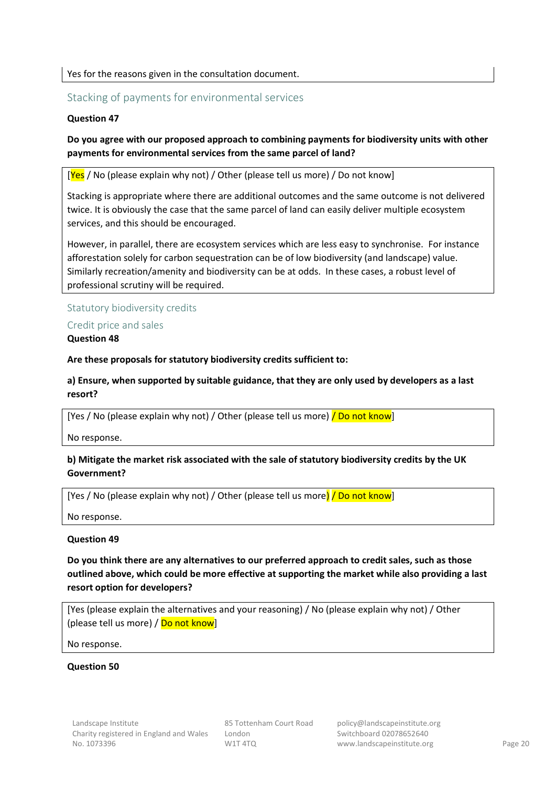## Yes for the reasons given in the consultation document.

## Stacking of payments for environmental services

## **Question 47**

**Do you agree with our proposed approach to combining payments for biodiversity units with other payments for environmental services from the same parcel of land?** 

 $[\text{Yes} / \text{No}$  (please explain why not) / Other (please tell us more) / Do not know]

Stacking is appropriate where there are additional outcomes and the same outcome is not delivered twice. It is obviously the case that the same parcel of land can easily deliver multiple ecosystem services, and this should be encouraged.

However, in parallel, there are ecosystem services which are less easy to synchronise. For instance afforestation solely for carbon sequestration can be of low biodiversity (and landscape) value. Similarly recreation/amenity and biodiversity can be at odds. In these cases, a robust level of professional scrutiny will be required.

## Statutory biodiversity credits

Credit price and sales

**Question 48**

**Are these proposals for statutory biodiversity credits sufficient to:**

**a) Ensure, when supported by suitable guidance, that they are only used by developers as a last resort?**

[Yes / No (please explain why not) / Other (please tell us more) **/ Do not know**]

No response.

## **b) Mitigate the market risk associated with the sale of statutory biodiversity credits by the UK Government?**

[Yes / No (please explain why not) / Other (please tell us more) / Do not know]

No response.

## **Question 49**

**Do you think there are any alternatives to our preferred approach to credit sales, such as those outlined above, which could be more effective at supporting the market while also providing a last resort option for developers?**

[Yes (please explain the alternatives and your reasoning) / No (please explain why not) / Other (please tell us more) /  $Do$  not know]

No response.

## **Question 50**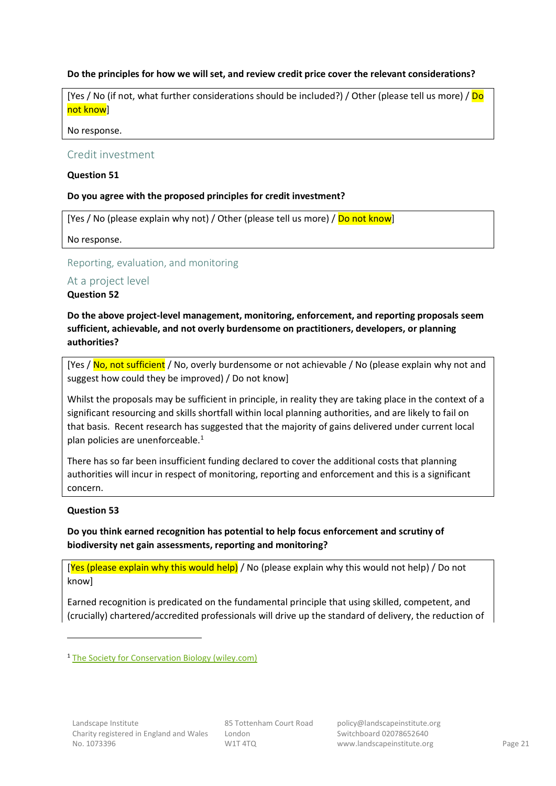## **Do the principles for how we will set, and review credit price cover the relevant considerations?**

[Yes / No (if not, what further considerations should be included?) / Other (please tell us more) / Do not know]

No response.

## Credit investment

## **Question 51**

## **Do you agree with the proposed principles for credit investment?**

[Yes / No (please explain why not) / Other (please tell us more) / Do not know]

No response.

## Reporting, evaluation, and monitoring

## At a project level

## **Question 52**

**Do the above project-level management, monitoring, enforcement, and reporting proposals seem sufficient, achievable, and not overly burdensome on practitioners, developers, or planning authorities?**

[Yes / No, not sufficient / No, overly burdensome or not achievable / No (please explain why not and suggest how could they be improved) / Do not know]

Whilst the proposals may be sufficient in principle, in reality they are taking place in the context of a significant resourcing and skills shortfall within local planning authorities, and are likely to fail on that basis. Recent research has suggested that the majority of gains delivered under current local plan policies are unenforceable.<sup>1</sup>

There has so far been insufficient funding declared to cover the additional costs that planning authorities will incur in respect of monitoring, reporting and enforcement and this is a significant concern.

## **Question 53**

**Do you think earned recognition has potential to help focus enforcement and scrutiny of biodiversity net gain assessments, reporting and monitoring?**

[Yes (please explain why this would help) / No (please explain why this would not help) / Do not know]

Earned recognition is predicated on the fundamental principle that using skilled, competent, and (crucially) chartered/accredited professionals will drive up the standard of delivery, the reduction of

<sup>1</sup> [The Society for Conservation Biology \(wiley.com\)](https://conbio.onlinelibrary.wiley.com/doi/full/10.1111/conl.12820)